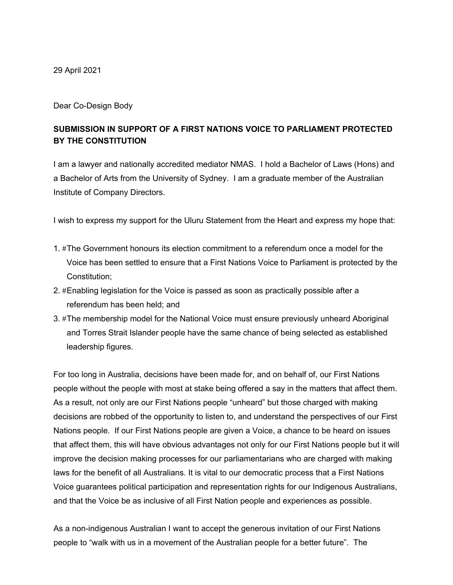29 April 2021

Dear Co-Design Body

## **SUBMISSION IN SUPPORT OF A FIRST NATIONS VOICE TO PARLIAMENT PROTECTED BY THE CONSTITUTION**

 I am a lawyer and nationally accredited mediator NMAS. I hold a Bachelor of Laws (Hons) and a Bachelor of Arts from the University of Sydney. I am a graduate member of the Australian Institute of Company Directors.

I wish to express my support for the Uluru Statement from the Heart and express my hope that:

- 1. #The Government honours its election commitment to a referendum once a model for the Voice has been settled to ensure that a First Nations Voice to Parliament is protected by the Constitution;
- 2. #Enabling legislation for the Voice is passed as soon as practically possible after a referendum has been held; and
- 3. #The membership model for the National Voice must ensure previously unheard Aboriginal and Torres Strait Islander people have the same chance of being selected as established leadership figures.

 For too long in Australia, decisions have been made for, and on behalf of, our First Nations people without the people with most at stake being offered a say in the matters that affect them. As a result, not only are our First Nations people "unheard" but those charged with making decisions are robbed of the opportunity to listen to, and understand the perspectives of our First Nations people. If our First Nations people are given a Voice, a chance to be heard on issues that affect them, this will have obvious advantages not only for our First Nations people but it will improve the decision making processes for our parliamentarians who are charged with making laws for the benefit of all Australians. It is vital to our democratic process that a First Nations and that the Voice be as inclusive of all First Nation people and experiences as possible. Voice guarantees political participation and representation rights for our Indigenous Australians,

 As a non-indigenous Australian I want to accept the generous invitation of our First Nations people to "walk with us in a movement of the Australian people for a better future". The